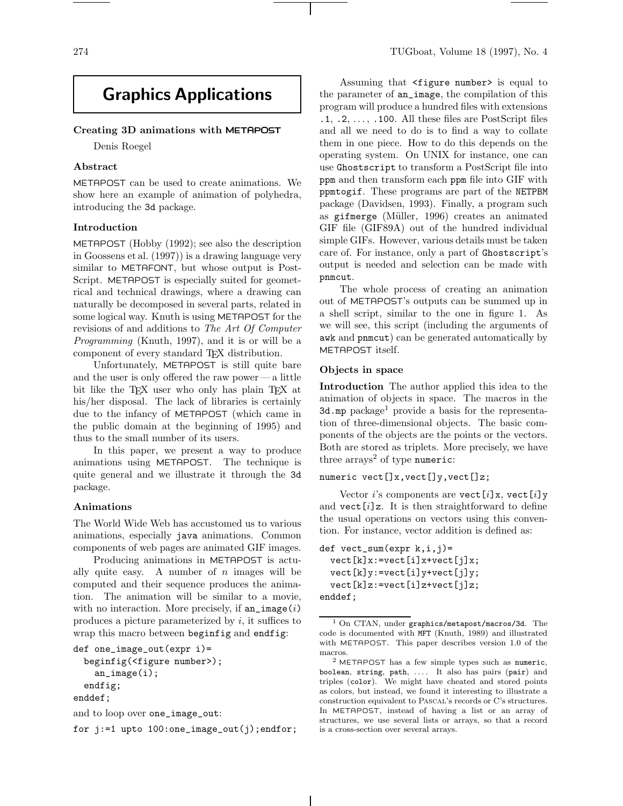# **Graphics Applications**

## **Creating 3D animations with** METAPOST

Denis Roegel

## **Abstract**

METAPOST can be used to create animations. We show here an example of animation of polyhedra, introducing the 3d package.

#### **Introduction**

METAPOST (Hobby (1992); see also the description in Goossens etal. (1997)) is a drawing language very similar to METAFONT, but whose output is Post-Script. METAPOST is especially suited for geometrical and technical drawings, where a drawing can naturally be decomposed in several parts, related in some logical way. Knuth is using METAPOST for the revisions of and additions to The Art Of Computer Programming (Knuth, 1997), and it is or will be a component of every standard TEX distribution.

Unfortunately, METAPOST is still quite bare and the user is only offered the raw power—a little bit like the T<sub>EX</sub> user who only has plain T<sub>EX</sub> at his/her disposal. The lack of libraries is certainly due to the infancy of METAPOST (which came in the public domain at the beginning of 1995) and thus to the small number of its users.

In this paper, we present a way to produce animations using METAPOST. The technique is quite general and we illustrate it through the 3d package.

#### **Animations**

The World Wide Web has accustomed us to various animations, especially java animations. Common components of web pages are animated GIF images.

Producing animations in METAPOST is actually quite easy. A number of  $n$  images will be computed and their sequence produces the animation. The animation will be similar to a movie, with no interaction. More precisely, if  $an\_image(i)$ produces a picture parameterized by  $i$ , it suffices to wrap this macro between beginfig and endfig:

```
def one_image_out(expr i)=
  beginfig(<figure number>);
    an_image(i);
  endfig;
enddef;
```

```
and to loop over one_image_out:
```
for j:=1 upto 100:one\_image\_out(j);endfor;

Assuming that <figure number> is equal to the parameter of an\_image, the compilation of this program will produce a hundred files with extensions .1, .2,..., .100. All these files are PostScript files and all we need to do is to find a way to collate them in one piece. How to do this depends on the operating system. On UNIX for instance, one can use Ghostscript to transform a PostScript file into ppm and then transform each ppm file into GIF with ppmtogif. These programs are part of the NETPBM package (Davidsen, 1993). Finally, a program such as gifmerge (Müller, 1996) creates an animated GIF file (GIF89A) out of the hundred individual simple GIFs. However, various details must be taken care of. For instance, only a part of Ghostscript's output is needed and selection can be made with pnmcut.

The whole process of creating an animation out of METAPOST's outputs can be summed up in a shell script, similar to the one in figure 1. As we will see, this script (including the arguments of awk and pnmcut) can be generated automatically by METAPOST itself.

#### **Objects in space**

**Introduction** The author applied this idea to the animation of objects in space. The macros in the 3d.mp package<sup>1</sup> provide a basis for the representation of three-dimensional objects. The basic components of the objects are the points or the vectors. Both are stored as triplets. More precisely, we have three  $\arrows$  arrays<sup>2</sup> of type numeric:

## numeric vect[]x, vect[]y, vect[]z;

Vector *i*'s components are vect  $[i]$ x, vect  $[i]$ y and  $\text{vect}[i]z$ . It is then straightforward to define the usual operations on vectors using this convention. For instance, vector addition is defined as:

 $def \text{vect\_sum}(\text{expr } k, i, j) =$  $\text{vect}[k]x:=\text{vect}[i]x+\text{vect}[j]x;$ vect[k]y:=vect[i]y+vect[j]y;  $\text{vect}[k]z:=\text{vect}[i]z+\text{vect}[j]z;$ enddef;

<sup>1</sup> On CTAN, under graphics/metapost/macros/3d. The code is documented with MFT (Knuth, 1989) and illustrated with METAPOST. This paper describes version 1.0 of the macros.

<sup>2</sup> METAPOST has a few simple types such as numeric, boolean, string, path, .... It also has pairs (pair) and triples (color). We might have cheated and stored points as colors, but instead, we found it interesting to illustrate a construction equivalent to Pascal's records or C's structures. In METAPOST, instead of having a list or an array of structures, we use several lists or arrays, so that a record is a cross-section over several arrays.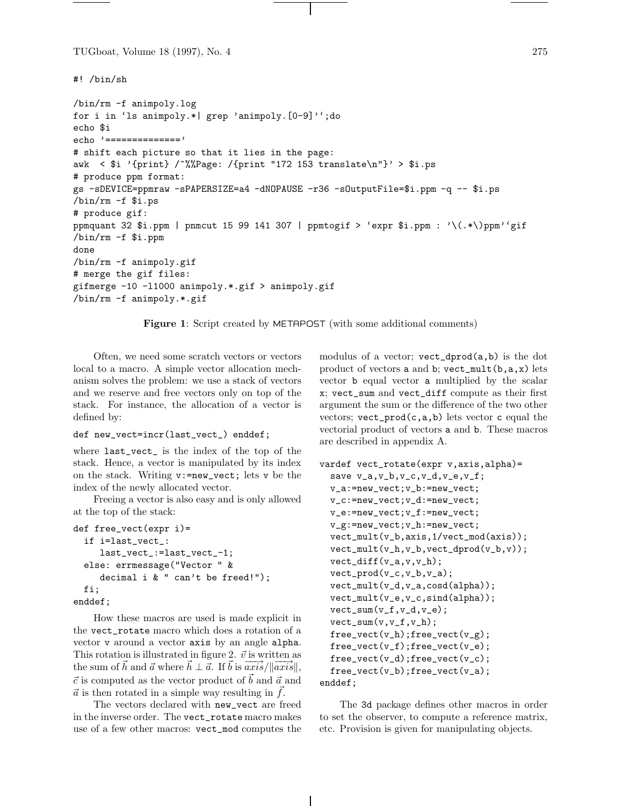```
TUGboat, Volume 18 (1997), No. 4 275
```
#! /bin/sh

```
/bin/rm -f animpoly.log
for i in 'ls animpoly.*| grep 'animpoly.[0-9]'';do
echo $i
echo '=============='
# shift each picture so that it lies in the page:
awk < \i '{print} /~%%Page: /{print "172 153 translate\n"}' > \i.ps
# produce ppm format:
gs -sDEVICE=ppmraw -sPAPERSIZE=a4 -dNOPAUSE -r36 -sOutputFile=$i.ppm -q -- $i.ps
/bin/rm -f $i.ps
# produce gif:
ppmquant 32 \dim | pnmcut 15 99 141 307 | ppmtogif > 'expr \dim: \(\cdot\)(\cdot\))ppm''gif
/bin/rm -f $i.ppm
done
/bin/rm -f animpoly.gif
# merge the gif files:
gifmerge -10 -l1000 animpoly.*.gif > animpoly.gif
/bin/rm -f animpoly.*.gif
```
**Figure 1**: Script created by METAPOST (with some additional comments)

Often, we need some scratch vectors or vectors local to a macro. A simple vector allocation mechanism solves the problem: we use a stack of vectors and we reserve and free vectors only on top of the stack. For instance, the allocation of a vector is defined by:

```
def new_vect=incr(last_vect_) enddef;
```
where last\_vect\_ is the index of the top of the stack. Hence, a vector is manipulated by its index on the stack. Writing v:=new\_vect; lets v be the index of the newly allocated vector.

Freeing a vector is also easy and is only allowed at the top of the stack:

```
def free_vect(expr i)=
  if i=last_vect_:
     last_vect_:=last_vect_-1;
  else: errmessage("Vector " &
     decimal i & " can't be freed!");
  fi;
enddef;
```
How these macros are used is made explicit in the vect\_rotate macro which does a rotation of a vector v around a vector axis by an angle alpha. This rotation is illustrated in figure 2.  $\vec{v}$  is written as the sum of  $\vec{h}$  and  $\vec{a}$  where  $\vec{h} \perp \vec{a}$ . If  $\vec{b}$  is  $\overrightarrow{axis} / ||\overrightarrow{axis}||$ ,  $\vec{c}$  is computed as the vector product of  $\vec{b}$  and  $\vec{a}$  and  $\vec{a}$  is then rotated in a simple way resulting in  $\vec{f}$ .

The vectors declared with new\_vect are freed in the inverse order. The vect\_rotate macro makes use of a few other macros: vect\_mod computes the modulus of a vector; vect\_dprod(a,b) is the dot product of vectors a and b;  $\text{vect\_mult}(b, a, x)$  lets vector b equal vector a multiplied by the scalar x; vect\_sum and vect\_diff compute as their first argument the sum or the difference of the two other vectors;  $\text{vect}_{\text{prod}}(c, a, b)$  lets vector c equal the vectorial product of vectors a and b. These macros are described in appendix A.

```
vardef vect_rotate(expr v,axis,alpha)=
  save v_a,v_b,v_c,v_d,v_e,v_f;v_a:=new_vect;v_b:=new_vect;
  v_c:=new_vect;v_d:=new_vect;
  v_e:=new_vect;v_f:=new_vect;
  v_g:=new_vect;v_h:=new_vect;
  vect_mult(v_b,axis,1/vect_mod(axis));
  vect_mult(v_h,v_b,vect_dprod(v_b,v));
  vect\_diff(v_a,v,v_h);vect\_prod(v_c,v_b,v_a);vect_mult(v_d,v_a,cosd(alpha));
  vect_mult(v_e,v_c,sind(alpha));
  vect_sum(v_f,v_d,v_e);
  vect\_sum(v,v_f,v_h);free\_vect(v_h);free\_vect(v_g);free\_vect(v_f);free\_vect(v_e);free\_vect(v_d);free\_vect(v_c);free_vect(v_b);free_vect(v_a);
enddef;
```
The 3d package defines other macros in order to set the observer, to compute a reference matrix, etc. Provision is given for manipulating objects.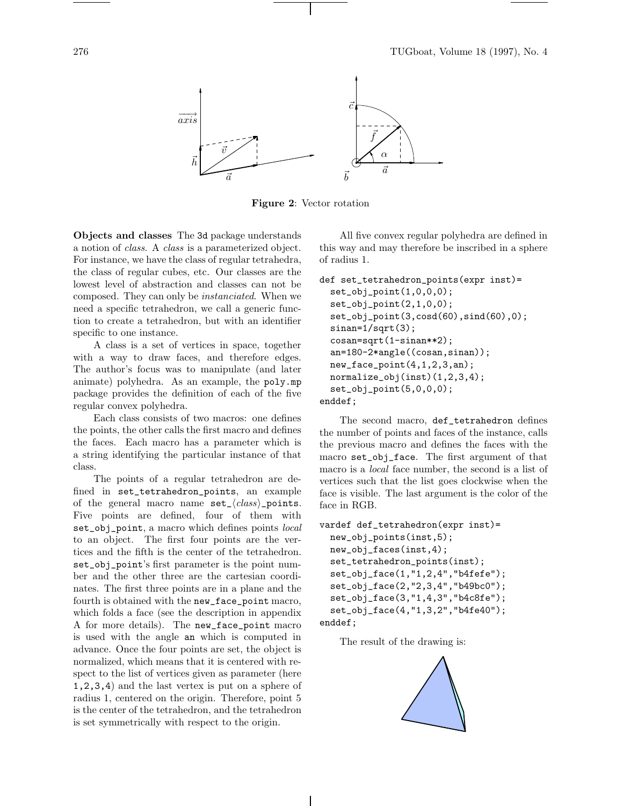

**Figure 2**: Vector rotation

**Objects and classes** The 3d package understands a notion of class. A class is a parameterized object. For instance, we have the class of regular tetrahedra, the class of regular cubes, etc. Our classes are the lowest level of abstraction and classes can not be composed. They can only be instanciated. When we need a specific tetrahedron, we call a generic function to create a tetrahedron, but with an identifier specific to one instance.

A class is a set of vertices in space, together with a way to draw faces, and therefore edges. The author's focus was to manipulate (and later animate) polyhedra. As an example, the poly.mp package provides the definition of each of the five regular convex polyhedra.

Each class consists of two macros: one defines the points, the other calls the first macro and defines the faces. Each macro has a parameter which is a string identifying the particular instance of that class.

The points of a regular tetrahedron are defined in set\_tetrahedron\_points, an example of the general macro name  $set_{\langle class \rangle}$ -points. Five points are defined, four of them with set\_obj\_point, a macro which defines points *local* to an object. The first four points are the vertices and the fifth is the center of the tetrahedron. set\_obj\_point's first parameter is the point number and the other three are the cartesian coordinates. The first three points are in a plane and the fourth is obtained with the new\_face\_point macro, which folds a face (see the description in appendix A for more details). The new\_face\_point macro is used with the angle an which is computed in advance. Once the four points are set, the object is normalized, which means that it is centered with respect to the list of vertices given as parameter (here 1,2,3,4) and the last vertex is put on a sphere of radius 1, centered on the origin. Therefore, point 5 is the center of the tetrahedron, and the tetrahedron is set symmetrically with respect to the origin.

All five convex regular polyhedra are defined in this way and may therefore be inscribed in a sphere of radius 1.

```
def set_tetrahedron_points(expr inst)=
 set\_obj\_point(1,0,0,0);set\_obj\_point(2,1,0,0);set_obj_point(3,cosd(60),sind(60),0);
 sinan=1/sqrt(3);
 cosan=sqrt(1-sinan**2);
 an=180-2*angle((cosan,sinan));
 new_face\_point(4,1,2,3,an);normalize_obj(inst)(1,2,3,4);
 set_obj_point(5,0,0,0);
enddef;
```
The second macro, def\_tetrahedron defines the number of points and faces of the instance, calls the previous macro and defines the faces with the macro set\_obj\_face. The first argument of that macro is a *local* face number, the second is a list of vertices such that the list goes clockwise when the face is visible. The last argument is the color of the face in RGB.

```
vardef def_tetrahedron(expr inst)=
 new_obj_points(inst,5);
 new_obj_faces(inst,4);
 set_tetrahedron_points(inst);
 set_obj_face(1,"1,2,4","b4fefe");
 set_obj_face(2,"2,3,4","b49bc0");
 set_obj_face(3,"1,4,3","b4c8fe");
 set_obj_face(4,"1,3,2","b4fe40");
enddef;
```
The result of the drawing is:

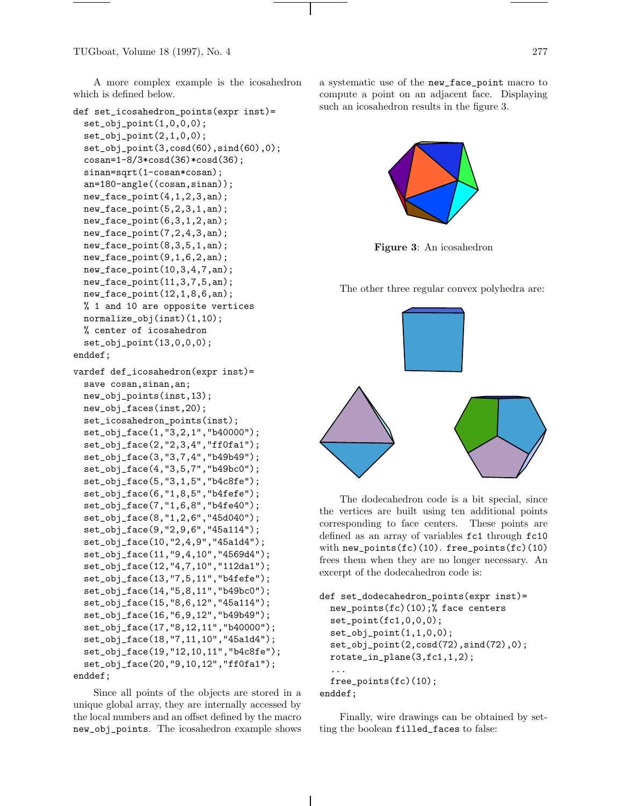TUGboat, Volume 18 (1997), No. 4 277

A more complex example is the icosahedron which is defined below.

```
def set_icosahedron_points(expr inst)=
  set\_obj\_point(1,0,0,0);set\_obj\_point(2,1,0,0);set_obj_point(3,cosd(60),sind(60),0);
  cosan=1-8/3*cosd(36)*cosd(36);
  sinan=sqrt(1-cosan*cosan);
  an=180-angle((cosan,sinan));
  new_face_point(4,1,2,3,an);
  new_face\_point(5,2,3,1,an);new_face_point(6,3,1,2,an);
  new_face_point(7,2,4,3,an);
  new_face_point(8,3,5,1,an);
  new_face\_point(9,1,6,2,an);new_face_point(10,3,4,7,an);
  new_face_point(11,3,7,5,an);
  new_face_point(12,1,8,6,an);
  % 1 and 10 are opposite vertices
  normalize_obj(inst)(1,10);
  % center of icosahedron
  set_obj_point(13,0,0,0);
enddef;
vardef def_icosahedron(expr inst)=
  save cosan, sinan, an;
  new_obj_points(inst,13);
  new_obj_faces(inst,20);
  set_icosahedron_points(inst);
  set_obj_face(1,"3,2,1","b40000");
  set_obj_face(2,"2,3,4","ff0fa1");
  set_obj_face(3,"3,7,4","b49b49");
  set_obj_face(4,"3,5,7","b49bc0");
  set_obj_face(5,"3,1,5","b4c8fe");
  set_obj_face(6,"1,8,5","b4fefe");
  set_obj_face(7,"1,6,8","b4fe40");
  set_obj_face(8,"1,2,6","45d040");
  set_obj_face(9,"2,9,6","45a114");
  set_obj_face(10,"2,4,9","45a1d4");
  set_obj_face(11,"9,4,10","4569d4");
  set_obj_face(12,"4,7,10","112da1");
  set_obj_face(13,"7,5,11","b4fefe");
  set_obj_face(14,"5,8,11","b49bc0");
  set_obj_face(15,"8,6,12","45a114");
  set_obj_face(16,"6,9,12","b49b49");
  set_obj_face(17,"8,12,11","b40000");
  set_obj_face(18,"7,11,10","45a1d4");
  set_obj_face(19,"12,10,11","b4c8fe");
  set_obj_face(20,"9,10,12","ff0fa1");
enddef;
```
Since all points of the objects are stored in a unique global array, they are internally accessed by the local numbers and an offset defined by the macro new\_obj\_points. The icosahedron example shows a systematic use of the new\_face\_point macro to compute a point on an adjacent face. Displaying such an icosahedron results in the figure 3.



**Figure 3**: An icosahedron

The other three regular convex polyhedra are:



The dodecahedron code is a bit special, since the vertices are built using ten additional points corresponding to face centers. These points are defined as an array of variables fc1 through fc10 with  $new\_points(fc)(10)$ . free\_points $fc)(10)$ frees them when they are no longer necessary. An excerpt of the dodecahedron code is:

```
def set_dodecahedron_points(expr inst)=
  new_points(fc)(10);% face centers
  set_point(fc1,0,0,0);
  set_obj_point(1,1,0,0);
  set_obj_point(2,cosd(72),sind(72),0);
  rotate_in_plane(3,fc1,1,2);
  ...
  free_points(fc)(10);
enddef;
```
Finally, wire drawings can be obtained by setting the boolean filled\_faces to false: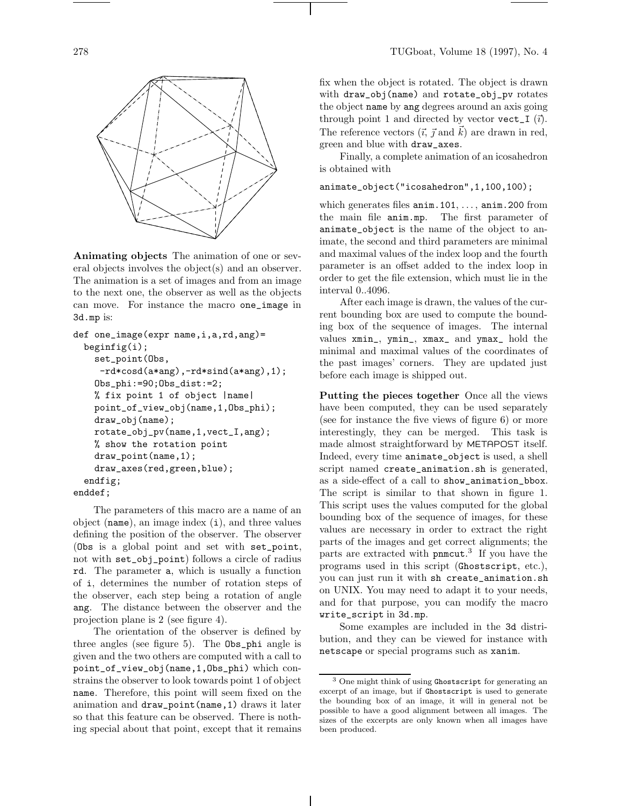

**Animating objects** The animation of one or several objects involves the object(s) and an observer. The animation is a set of images and from an image to the next one, the observer as well as the objects can move. For instance the macro one\_image in 3d.mp is:

```
def one_image(expr name,i,a,rd,ang)=
  begin{align} \n\frac{1}{2} \n\end{align}set_point(Obs,
     -rd*cosd(a*ang),-rd*sind(a*ang),1);
    Obs_phi:=90;Obs_dist:=2;
    % fix point 1 of object |name|
    point_of_view_obj(name,1,Obs_phi);
    draw_obj(name);
    rotate_obj_pv(name,1,vect_I,ang);
    % show the rotation point
    draw_point(name,1);
    draw_axes(red,green,blue);
  endfig;
enddef;
```
The parameters of this macro are a name of an object (name), an image index (i), and three values defining the position of the observer. The observer (Obs is a global point and set with set\_point, not with set\_obj\_point) follows a circle of radius rd. The parameter a, which is usually a function of i, determines the number of rotation steps of the observer, each step being a rotation of angle ang. The distance between the observer and the projection plane is 2 (see figure 4).

The orientation of the observer is defined by three angles (see figure 5). The Obs\_phi angle is given and the two others are computed with a call to point\_of\_view\_obj(name,1,Obs\_phi) which constrains the observer to look towards point 1 of object name. Therefore, this point will seem fixed on the animation and draw\_point(name,1) draws it later so that this feature can be observed. There is nothing special about that point, except that it remains fix when the object is rotated. The object is drawn with draw\_obj(name) and rotate\_obj\_pv rotates the object name by ang degrees around an axis going through point 1 and directed by vector vect\_I  $(\vec{i})$ . The reference vectors  $(\vec{i}, \vec{j} \text{ and } \vec{k})$  are drawn in red, green and blue with draw\_axes.

Finally, a complete animation of an icosahedron is obtained with

#### animate\_object("icosahedron",1,100,100);

which generates files  $\text{anim.101}, \ldots, \text{anim.200 from}$ the main file anim.mp. The first parameter of animate\_object is the name of the object to animate, the second and third parameters are minimal and maximal values of the index loop and the fourth parameter is an offset added to the index loop in order to get the file extension, which must lie in the interval 0..4096.

After each image is drawn, the values of the current bounding box are used to compute the bounding box of the sequence of images. The internal values xmin\_, ymin\_, xmax\_ and ymax\_ hold the minimal and maximal values of the coordinates of the past images' corners. They are updated just before each image is shipped out.

**Putting the pieces together** Once all the views have been computed, they can be used separately (see for instance the five views of figure 6) or more interestingly, they can be merged. This task is made almost straightforward by METAPOST itself. Indeed, every time animate\_object is used, a shell script named create\_animation.sh is generated, as a side-effect of a call to show\_animation\_bbox. The script is similar to that shown in figure 1. This script uses the values computed for the global bounding box of the sequence of images, for these values are necessary in order to extract the right parts of the images and get correct alignments; the parts are extracted with pnmcut. <sup>3</sup> If you have the programs used in this script (Ghostscript, etc.), you can just run it with sh create\_animation.sh on UNIX. You may need to adapt it to your needs, and for that purpose, you can modify the macro write\_script in 3d.mp.

Some examples are included in the 3d distribution, and they can be viewed for instance with netscape or special programs such as xanim.

<sup>&</sup>lt;sup>3</sup> One might think of using Ghostscript for generating an excerpt of an image, but if Ghostscript is used to generate the bounding box of an image, it will in general not be possible to have a good alignment between all images. The sizes of the excerpts are only known when all images have been produced.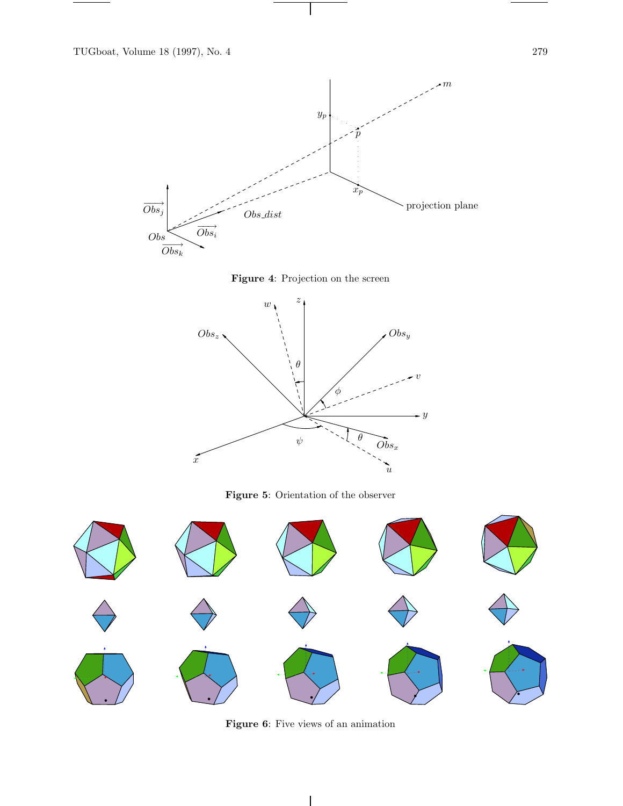

 $\vert$ 





**Figure 5**: Orientation of the observer



**Figure 6**: Five views of an animation

 $\overline{\phantom{a}}$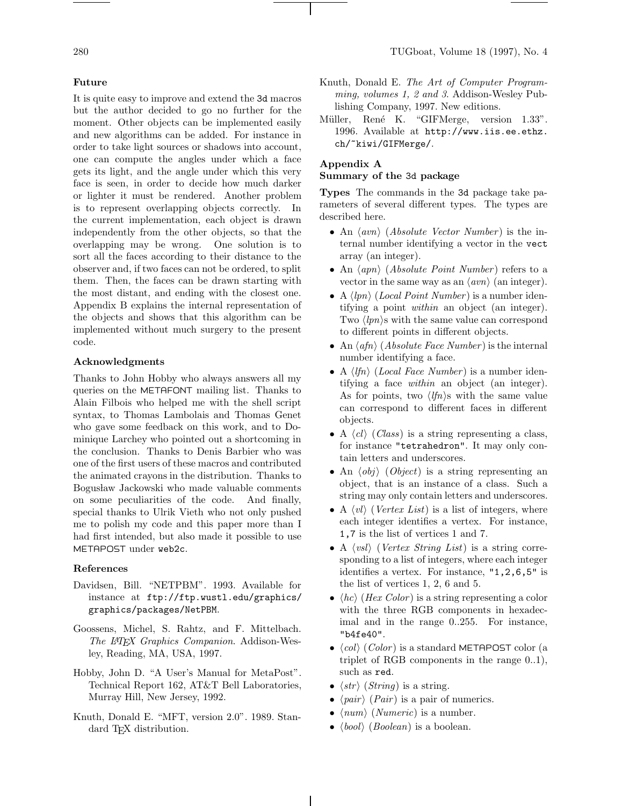#### **Future**

It is quite easy to improve and extend the 3d macros but the author decided to go no further for the moment. Other objects can be implemented easily and new algorithms can be added. For instance in order to take light sources or shadows into account, one can compute the angles under which a face gets its light, and the angle under which this very face is seen, in order to decide how much darker or lighter it must be rendered. Another problem is to represent overlapping objects correctly. In the current implementation, each object is drawn independently from the other objects, so that the overlapping may be wrong. One solution is to sort all the faces according to their distance to the observer and, if two faces can not be ordered, to split them. Then, the faces can be drawn starting with the most distant, and ending with the closest one. Appendix B explains the internal representation of the objects and shows that this algorithm can be implemented without much surgery to the present code.

## **Acknowledgments**

Thanks to John Hobby who always answers all my queries on the METAFONT mailing list. Thanks to Alain Filbois who helped me with the shell script syntax, to Thomas Lambolais and Thomas Genet who gave some feedback on this work, and to Dominique Larchey who pointed out a shortcoming in the conclusion. Thanks to Denis Barbier who was one of the first users of these macros and contributed the animated crayons in the distribution. Thanks to Bogusław Jackowski who made valuable comments on some peculiarities of the code. And finally, special thanks to Ulrik Vieth who not only pushed me to polish my code and this paper more than I had first intended, but also made it possible to use METAPOST under web2c.

## **References**

- Davidsen, Bill. "NETPBM". 1993. Available for instance at ftp://ftp.wustl.edu/graphics/ graphics/packages/NetPBM.
- Goossens, Michel, S. Rahtz, and F. Mittelbach. The IATFX Graphics Companion. Addison-Wesley, Reading, MA, USA, 1997.
- Hobby, John D. "A User's Manual for MetaPost". Technical Report 162, AT&T Bell Laboratories, Murray Hill, New Jersey, 1992.
- Knuth, Donald E. "MFT, version 2.0". 1989. Standard T<sub>EX</sub> distribution.
- Knuth, Donald E. The Art of Computer Programming, volumes 1, 2 and 3. Addison-Wesley Publishing Company, 1997. New editions.
- Müller, René K. "GIFMerge, version 1.33". 1996. Available at http://www.iis.ee.ethz. ch/~kiwi/GIFMerge/.

# **Appendix A**

#### **Summary of the** 3d **package**

**Types** The commands in the 3d package take parameters of several different types. The types are described here.

- An  $\langle avn \rangle$  (*Absolute Vector Number*) is the internal number identifying a vector in the vect array (an integer).
- An  $\langle appn \rangle$  (*Absolute Point Number*) refers to a vector in the same way as an  $\langle a v n \rangle$  (an integer).
- A  $\langle lpn \rangle$  (*Local Point Number*) is a number identifying a point within an object (an integer). Two  $\langle lpn \rangle$ s with the same value can correspond to different points in different objects.
- An  $\langle afn \rangle$  (*Absolute Face Number*) is the internal number identifying a face.
- A  $\langle lfn \rangle$  (*Local Face Number*) is a number identifying a face within an object (an integer). As for points, two  $\langle lfn \rangle$ s with the same value can correspond to different faces in different objects.
- A  $\langle cl \rangle$  (Class) is a string representing a class, for instance "tetrahedron". It may only contain letters and underscores.
- An  $\langle obj \rangle$  (Object) is a string representing an object, that is an instance of a class. Such a string may only contain letters and underscores.
- A  $\langle vl \rangle$  (*Vertex List*) is a list of integers, where each integer identifies a vertex. For instance, 1,7 is the list of vertices 1 and 7.
- A  $\langle vsl \rangle$  (Vertex String List) is a string corresponding to a list of integers, where each integer identifies a vertex. For instance, "1,2,6,5" is the list of vertices 1, 2, 6 and 5.
- $\langle hc \rangle$  (*Hex Color*) is a string representing a color with the three RGB components in hexadecimal and in the range 0..255. For instance, "b4fe40".
- $\langle col \rangle$  (Color) is a standard METAPOST color (a triplet of RGB components in the range 0..1), such as red.
- $\langle str \rangle$  (*String*) is a string.
- $\langle pair \rangle$  (*Pair*) is a pair of numerics.
- $\langle num \rangle$  (Numeric) is a number.
- $\langle bool \rangle$  (*Boolean*) is a boolean.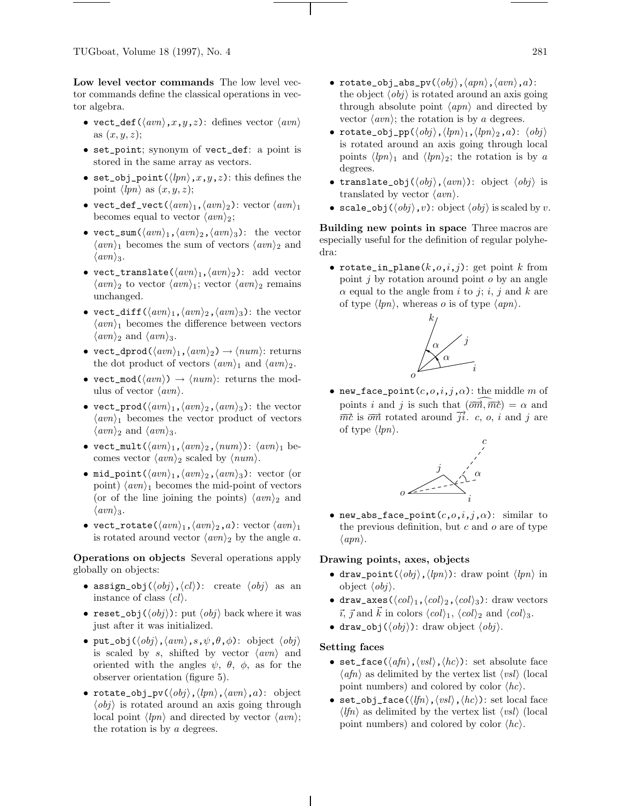**Low level vector commands** The low level vector commands define the classical operations in vector algebra.

- vect\_def( $\langle avn\rangle, x,y,z$ ): defines vector  $\langle avn\rangle$ as  $(x, y, z)$ ;
- set\_point; synonym of vect\_def: a point is stored in the same array as vectors.
- set\_obj\_point( $\langle lpn \rangle, x,y,z$ ): this defines the point  $\langle lpn \rangle$  as  $(x, y, z)$ ;
- vect\_def\_vect( $\langle avn\rangle_1$ , $\langle avn\rangle_2$ ): vector  $\langle avn\rangle_1$ becomes equal to vector  $\langle a v n \rangle_2$ ;
- vect\_sum( $\langle avn \rangle_1$ , $\langle avn \rangle_2$ , $\langle avn \rangle_3$ ): the vector  $\langle a v n \rangle_1$  becomes the sum of vectors  $\langle a v n \rangle_2$  and  $\langle a v n \rangle_3.$
- vect\_translate( $\langle a v n \rangle_1$ , $\langle a v n \rangle_2$ ): add vector  $\langle a v n \rangle_2$  to vector  $\langle a v n \rangle_1$ ; vector  $\langle a v n \rangle_2$  remains unchanged.
- vect\_diff( $\langle avn \rangle_1$ ,  $\langle avn \rangle_2$ ,  $\langle avn \rangle_3$ ): the vector  $\langle \textit{avn} \rangle_1$  becomes the difference between vectors  $\langle \textit{avn} \rangle_2$  and  $\langle \textit{avn} \rangle_3$ .
- vect\_dprod( $\langle avn \rangle_1$ ,  $\langle avn \rangle_2$ )  $\rightarrow$   $\langle num \rangle$ : returns the dot product of vectors  $\langle \text{avn} \rangle_1$  and  $\langle \text{avn} \rangle_2$ .
- vect\_mod( $\langle awn\rangle$ )  $\rightarrow$   $\langle num\rangle$ : returns the modulus of vector  $\langle \textit{avn} \rangle$ .
- vect\_prod( $\langle avn \rangle_1$ ,  $\langle avn \rangle_2$ ,  $\langle avn \rangle_3$ ): the vector  $\langle a v n \rangle_1$  becomes the vector product of vectors  $\langle \textit{avn} \rangle_2$  and  $\langle \textit{avn} \rangle_3$ .
- vect\_mult( $\langle avn\rangle_1$ , $\langle avn\rangle_2$ , $\langle num\rangle$ ):  $\langle avn\rangle_1$  becomes vector  $\langle a v n \rangle_2$  scaled by  $\langle n u m \rangle$ .
- mid\_point( $\langle avn \rangle_1$ , $\langle avn \rangle_2$ , $\langle avn \rangle_3$ ): vector (or point)  $\langle a v n \rangle_1$  becomes the mid-point of vectors (or of the line joining the points)  $\langle a v n \rangle_2$  and  $\langle avn \rangle_3$ .
- vect\_rotate( $\langle avn \rangle_1$ , $\langle avn \rangle_2$ ,a): vector  $\langle avn \rangle_1$ is rotated around vector  $\langle a v n \rangle_2$  by the angle a.

**Operations on objects** Several operations apply globally on objects:

- assign\_obj $(\langle obj \rangle, \langle cl \rangle)$ : create  $\langle obj \rangle$  as an instance of class  $\langle cl \rangle$ .
- reset\_obj $(\langle obj \rangle)$ : put  $\langle obj \rangle$  back where it was just after it was initialized.
- put\_obj $(\langle obj \rangle, \langle avn \rangle, s, \psi, \theta, \phi)$ : object  $\langle obj \rangle$ is scaled by s, shifted by vector  $\langle avn \rangle$  and oriented with the angles  $\psi$ ,  $\theta$ ,  $\phi$ , as for the observer orientation (figure 5).
- rotate\_obj\_pv( $\langle obj \rangle$ ,  $\langle lpn \rangle$ ,  $\langle avn \rangle$ , a): object  $\langle obj \rangle$  is rotated around an axis going through local point  $\langle lpn \rangle$  and directed by vector  $\langle avn \rangle$ ; the rotation is by a degrees.
- rotate\_obj\_abs\_pv( $\langle obj \rangle$ , $\langle app \rangle$ , $\langle avn \rangle$ , $a$ ): the object  $\langle obj \rangle$  is rotated around an axis going through absolute point  $\langle appn \rangle$  and directed by vector  $\langle \textit{avn} \rangle$ ; the rotation is by a degrees.
- rotate\_obj\_pp( $\langle obj \rangle$ , $\langle lpn \rangle_1$ , $\langle lpn \rangle_2$ ,a):  $\langle obj \rangle$ is rotated around an axis going through local points  $\langle lpn \rangle_1$  and  $\langle lpn \rangle_2$ ; the rotation is by a degrees.
- translate\_obj $(\langle obj \rangle, \langle avn \rangle)$ : object  $\langle obj \rangle$  is translated by vector  $\langle \textit{avn} \rangle$ .
- scale\_obj $(\langle obj \rangle, v)$ : object  $\langle obj \rangle$  is scaled by v.

**Building new points in space** Three macros are especially useful for the definition of regular polyhedra:

• rotate\_in\_plane( $k, o, i, j$ ): get point  $k$  from point  $j$  by rotation around point  $o$  by an angle  $\alpha$  equal to the angle from i to j; i, j and k are of type  $\langle lpn \rangle$ , whereas o is of type  $\langle app \rangle$ .



• new\_face\_point $(c, o, i, j, \alpha)$ : the middle m of points i and j is such that  $(\overline{om}, \overline{mc}) = \alpha$  and  $\overrightarrow{mc}$  is  $\overrightarrow{om}$  rotated around  $\overrightarrow{ji}$ . c, o, i and j are of type  $\langle lpn \rangle$ .



• new\_abs\_face\_point $(c, o, i, j, \alpha)$ : similar to the previous definition, but  $c$  and  $o$  are of type  $\langle app\rangle.$ 

## **Drawing points, axes, objects**

- draw\_point( $\langle obj \rangle$ , $\langle lpn \rangle$ ): draw point  $\langle lpn \rangle$  in object  $\langle obj \rangle$ .
- draw\_axes( $\langle col \rangle_1$ , $\langle col \rangle_2$ , $\langle col \rangle_3$ ): draw vectors  $\vec{i}, \vec{j}$  and  $\vec{k}$  in colors  $\langle col \rangle_1$ ,  $\langle col \rangle_2$  and  $\langle col \rangle_3$ .
- draw\_obj $(\langle obj \rangle)$ : draw object  $\langle obj \rangle$ .

#### **Setting faces**

- set\_face( $\langle afn \rangle$ , $\langle vsl \rangle$ , $\langle hc \rangle$ ): set absolute face  $\langle afn \rangle$  as delimited by the vertex list  $\langle vsl \rangle$  (local point numbers) and colored by color  $\langle hc \rangle$ .
- set\_obj\_face( $\langle lfn \rangle$ ,  $\langle vsl \rangle$ ,  $\langle hc \rangle$ ): set local face  $\langle lfn \rangle$  as delimited by the vertex list  $\langle vsl \rangle$  (local point numbers) and colored by color  $\langle hc \rangle$ .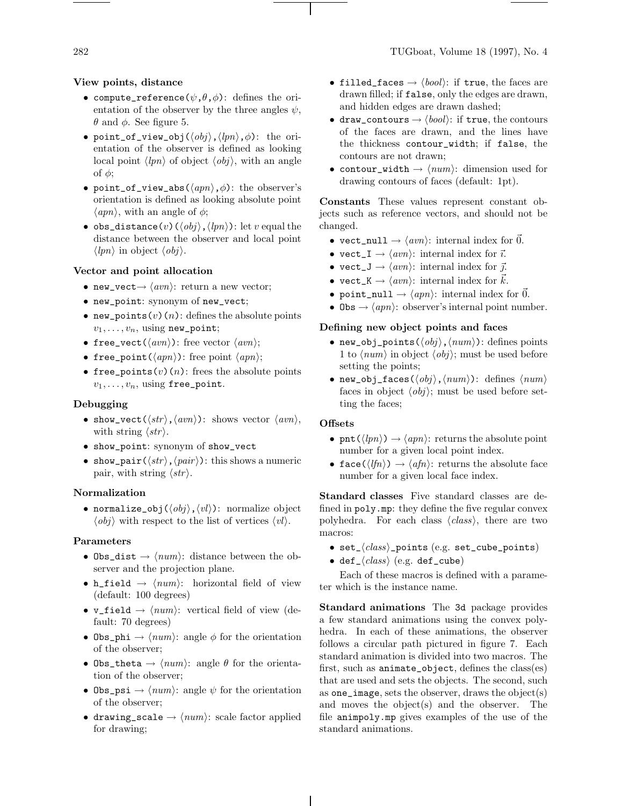## **View points, distance**

- compute\_reference( $\psi$ , $\theta$ , $\phi$ ): defines the orientation of the observer by the three angles  $\psi$ ,  $θ$  and  $φ$ . See figure 5.
- point\_of\_view\_obj $(\langle obj \rangle, \langle lpn \rangle, \phi)$ : the orientation of the observer is defined as looking local point  $\langle lpn \rangle$  of object  $\langle obj \rangle$ , with an angle of  $\phi$ ;
- point\_of\_view\_abs( $\langle appn \rangle, \phi$ ): the observer's orientation is defined as looking absolute point  $\langle appn\rangle$ , with an angle of  $\phi$ ;
- obs\_distance(v)( $\langle obj \rangle$ ,  $\langle lpn \rangle$ ): let v equal the distance between the observer and local point  $\langle lpn \rangle$  in object  $\langle obj \rangle$ .

## **Vector and point allocation**

- new\_vect $\rightarrow \langle avn \rangle$ : return a new vector;
- new\_point: synonym of new\_vect;
- new\_points(v)(n): defines the absolute points  $v_1,\ldots,v_n$ , using new\_point;
- free\_vect( $\langle avn \rangle$ ): free vector  $\langle avn \rangle$ ;
- free\_point( $\langle appn \rangle$ ): free point  $\langle appn \rangle$ ;
- free\_points(v)(n): frees the absolute points  $v_1,\ldots,v_n$ , using free\_point.

#### **Debugging**

- show\_vect( $\langle str \rangle$ ,  $\langle avn \rangle$ ): shows vector  $\langle avn \rangle$ , with string  $\langle str \rangle$ .
- show\_point: synonym of show\_vect
- show\_pair( $\langle str \rangle$ ,  $\langle pair \rangle$ ): this shows a numeric pair, with string  $\langle str \rangle$ .

## **Normalization**

• normalize\_obj $(\langle obj \rangle, \langle vl \rangle)$ : normalize object  $\langle obj \rangle$  with respect to the list of vertices  $\langle vl \rangle$ .

## **Parameters**

- Obs\_dist  $\rightarrow$   $\langle num \rangle$ : distance between the observer and the projection plane.
- h\_field  $\rightarrow$   $\langle num \rangle$ : horizontal field of view (default: 100 degrees)
- v\_field  $\rightarrow$   $\langle num \rangle$ : vertical field of view (default: 70 degrees)
- Obs\_phi  $\rightarrow$   $\langle num \rangle$ : angle  $\phi$  for the orientation of the observer;
- Obs\_theta  $\rightarrow$   $\langle num \rangle$ : angle  $\theta$  for the orientation of the observer;
- Obs\_psi  $\rightarrow$   $\langle num \rangle$ : angle  $\psi$  for the orientation of the observer;
- drawing\_scale  $\rightarrow$   $\langle num \rangle$ : scale factor applied for drawing;
- filled\_faces  $\rightarrow \langle bool \rangle$ : if true, the faces are drawn filled; if false, only the edges are drawn, and hidden edges are drawn dashed;
- draw\_contours  $\rightarrow \langle \text{bool} \rangle$ : if true, the contours of the faces are drawn, and the lines have the thickness contour\_width; if false, the contours are not drawn;
- contour\_width  $\rightarrow$   $\langle num \rangle$ : dimension used for drawing contours of faces (default: 1pt).

**Constants** These values represent constant objects such as reference vectors, and should not be changed.

- vect\_null  $\rightarrow \langle avn \rangle$ : internal index for  $\vec{0}$ .
- vect\_I  $\rightarrow \langle avn \rangle$ : internal index for  $\vec{i}$ .
- vect\_J  $\rightarrow \langle avn \rangle$ : internal index for  $\vec{j}$ .
- $\texttt{vect}_K \to \langle \textit{avn} \rangle$ : internal index for  $\vec{k}$ .
- point\_null  $\rightarrow$   $\langle appn \rangle$ : internal index for 0.
- Obs  $\rightarrow$   $\langle app \rangle$ : observer's internal point number.

#### **Defining new object points and faces**

- new\_obj\_points( $\langle obj \rangle$ ,  $\langle num \rangle$ ): defines points 1 to  $\langle num \rangle$  in object  $\langle obj \rangle$ ; must be used before setting the points;
- new\_obj\_faces( $\langle obj \rangle$ , $\langle num \rangle$ ): defines  $\langle num \rangle$ faces in object  $\langle obj \rangle$ ; must be used before setting the faces;

#### **Offsets**

- pnt( $\langle lpn \rangle$ )  $\rightarrow \langle appn \rangle$ : returns the absolute point number for a given local point index.
- face( $\langle lfn \rangle$ )  $\rightarrow \langle afn \rangle$ : returns the absolute face number for a given local face index.

**Standard classes** Five standard classes are defined in poly.mp: they define the five regular convex polyhedra. For each class  $\langle class \rangle$ , there are two macros:

- set\_ $\langle class \rangle$ \_points (e.g. set\_cube\_points)
- def $_{\text{-}}\langle class \rangle$  (e.g. def\_cube)

Each of these macros is defined with a parameter which is the instance name.

**Standard animations** The 3d package provides a few standard animations using the convex polyhedra. In each of these animations, the observer follows a circular path pictured in figure 7. Each standard animation is divided into two macros. The first, such as animate\_object, defines the class(es) that are used and sets the objects. The second, such as one\_image, sets the observer, draws the object(s) and moves the object(s) and the observer. The file animpoly.mp gives examples of the use of the standard animations.